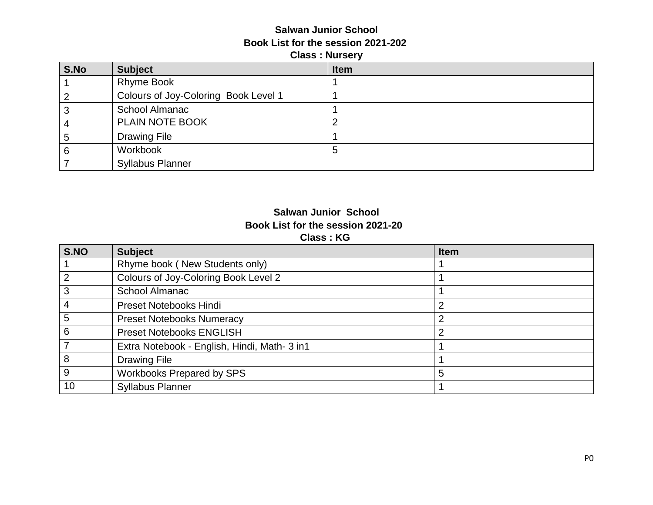#### **Salwan Junior School Book List for the session 2021-202 Class : Nursery**

| S.No | <b>Subject</b>                       | <b>Item</b> |
|------|--------------------------------------|-------------|
|      | <b>Rhyme Book</b>                    |             |
|      | Colours of Joy-Coloring Book Level 1 |             |
|      | School Almanac                       |             |
|      | PLAIN NOTE BOOK                      |             |
|      | <b>Drawing File</b>                  |             |
|      | Workbook                             | 5           |
|      | <b>Syllabus Planner</b>              |             |

#### **Salwan Junior School Book List for the session 2021-20 Class : KG**

| S.NO           | <b>Subject</b>                               | <b>Item</b> |
|----------------|----------------------------------------------|-------------|
|                | Rhyme book (New Students only)               |             |
| $\overline{2}$ | Colours of Joy-Coloring Book Level 2         |             |
| 3              | School Almanac                               |             |
|                | <b>Preset Notebooks Hindi</b>                | 2           |
| 5              | <b>Preset Notebooks Numeracy</b>             |             |
| 6              | <b>Preset Notebooks ENGLISH</b>              | 2           |
|                | Extra Notebook - English, Hindi, Math- 3 in1 |             |
| 8              | <b>Drawing File</b>                          |             |
| 9              | <b>Workbooks Prepared by SPS</b>             | 5           |
| 10             | <b>Syllabus Planner</b>                      |             |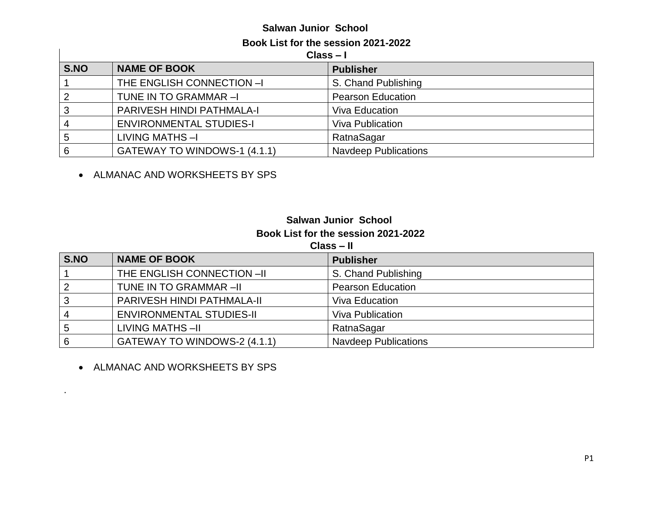# **Salwan Junior School**

#### **Book List for the session 2021-2022**

**Class – I**

| <u>viens – i</u> |                                |                             |
|------------------|--------------------------------|-----------------------------|
| S.NO             | <b>NAME OF BOOK</b>            | <b>Publisher</b>            |
|                  | THE ENGLISH CONNECTION -I      | S. Chand Publishing         |
|                  | TUNE IN TO GRAMMAR-I           | <b>Pearson Education</b>    |
|                  | PARIVESH HINDI PATHMALA-I      | <b>Viva Education</b>       |
|                  | <b>ENVIRONMENTAL STUDIES-I</b> | <b>Viva Publication</b>     |
|                  | LIVING MATHS-I                 | RatnaSagar                  |
|                  | GATEWAY TO WINDOWS-1 (4.1.1)   | <b>Navdeep Publications</b> |

• ALMANAC AND WORKSHEETS BY SPS

### **Salwan Junior School Book List for the session 2021-2022**

**Class – II**

| S.NO | <b>NAME OF BOOK</b>             | <b>Publisher</b>            |
|------|---------------------------------|-----------------------------|
|      | THE ENGLISH CONNECTION -II      | S. Chand Publishing         |
|      | TUNE IN TO GRAMMAR-II           | <b>Pearson Education</b>    |
| 3    | PARIVESH HINDI PATHMALA-II      | Viva Education              |
|      | <b>ENVIRONMENTAL STUDIES-II</b> | Viva Publication            |
| 5    | LIVING MATHS-II                 | RatnaSagar                  |
| 6    | GATEWAY TO WINDOWS-2 (4.1.1)    | <b>Navdeep Publications</b> |

• ALMANAC AND WORKSHEETS BY SPS

.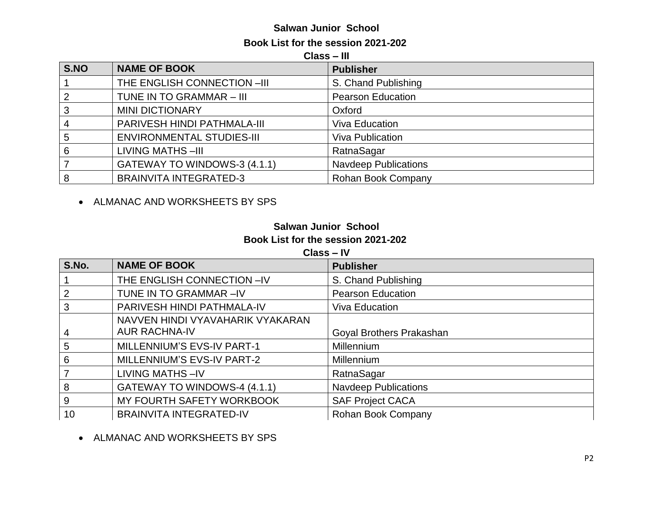#### **Salwan Junior School Book List for the session 2021-202**

**Class – III**

| S.NO | <b>NAME OF BOOK</b>              | <b>Publisher</b>            |
|------|----------------------------------|-----------------------------|
|      | THE ENGLISH CONNECTION -III      | S. Chand Publishing         |
| 2    | TUNE IN TO GRAMMAR - III         | <b>Pearson Education</b>    |
| 3    | <b>MINI DICTIONARY</b>           | Oxford                      |
| 4    | PARIVESH HINDI PATHMALA-III      | <b>Viva Education</b>       |
| 5    | <b>ENVIRONMENTAL STUDIES-III</b> | <b>Viva Publication</b>     |
| 6    | <b>LIVING MATHS-III</b>          | RatnaSagar                  |
|      | GATEWAY TO WINDOWS-3 (4.1.1)     | <b>Navdeep Publications</b> |
| 8    | <b>BRAINVITA INTEGRATED-3</b>    | Rohan Book Company          |

ALMANAC AND WORKSHEETS BY SPS

# **Salwan Junior School Book List for the session 2021-202**

**Class – IV**

| S.No. | <b>NAME OF BOOK</b>              | <b>Publisher</b>            |
|-------|----------------------------------|-----------------------------|
|       | THE ENGLISH CONNECTION -IV       | S. Chand Publishing         |
| 2     | TUNE IN TO GRAMMAR-IV            | <b>Pearson Education</b>    |
| 3     | PARIVESH HINDI PATHMALA-IV       | <b>Viva Education</b>       |
|       | NAVVEN HINDI VYAVAHARIK VYAKARAN |                             |
| 4     | <b>AUR RACHNA-IV</b>             | Goyal Brothers Prakashan    |
| 5     | MILLENNIUM'S EVS-IV PART-1       | Millennium                  |
| 6     | MILLENNIUM'S EVS-IV PART-2       | Millennium                  |
|       | <b>LIVING MATHS-IV</b>           | RatnaSagar                  |
| 8     | GATEWAY TO WINDOWS-4 (4.1.1)     | <b>Navdeep Publications</b> |
| 9     | MY FOURTH SAFETY WORKBOOK        | <b>SAF Project CACA</b>     |
| 10    | <b>BRAINVITA INTEGRATED-IV</b>   | Rohan Book Company          |

ALMANAC AND WORKSHEETS BY SPS